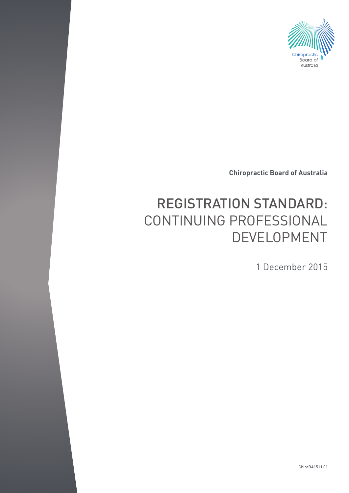

**Chiropractic Board of Australia**

# REGISTRATION STANDARD: CONTINUING PROFESSIONAL DEVELOPMENT

1 December 2015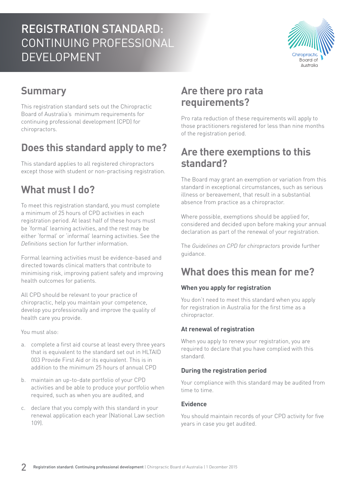# REGISTRATION STANDARD: CONTINUING PROFESSIONAL DEVELOPMENT



### **Summary**

This registration standard sets out the Chiropractic Board of Australia's minimum requirements for continuing professional development (CPD) for chiropractors.

### **Does this standard apply to me?**

This standard applies to all registered chiropractors except those with student or non-practising registration.

### **What must I do?**

To meet this registration standard, you must complete a minimum of 25 hours of CPD activities in each registration period. At least half of these hours must be 'formal' learning activities, and the rest may be either 'formal' or 'informal' learning activities. See the *Definitions* section for further information.

Formal learning activities must be evidence-based and directed towards clinical matters that contribute to minimising risk, improving patient safety and improving health outcomes for patients.

All CPD should be relevant to your practice of chiropractic, help you maintain your competence, develop you professionally and improve the quality of health care you provide.

You must also:

- a. complete a first aid course at least every three years that is equivalent to the standard set out in HLTAID 003 Provide First Aid or its equivalent. This is in addition to the minimum 25 hours of annual CPD
- b. maintain an up-to-date portfolio of your CPD activities and be able to produce your portfolio when required, such as when you are audited, and
- c. declare that you comply with this standard in your renewal application each year (National Law section 109).

### **Are there pro rata requirements?**

Pro rata reduction of these requirements will apply to those practitioners registered for less than nine months of the registration period.

### **Are there exemptions to this standard?**

The Board may grant an exemption or variation from this standard in exceptional circumstances, such as serious illness or bereavement, that result in a substantial absence from practice as a chiropractor.

Where possible, exemptions should be applied for, considered and decided upon before making your annual declaration as part of the renewal of your registration.

The *Guidelines on CPD for chiropractors* provide further guidance.

### **What does this mean for me?**

#### **When you apply for registration**

You don't need to meet this standard when you apply for registration in Australia for the first time as a chiropractor.

#### **At renewal of registration**

When you apply to renew your registration, you are required to declare that you have complied with this standard.

#### **During the registration period**

Your compliance with this standard may be audited from time to time.

#### **Evidence**

You should maintain records of your CPD activity for five years in case you get audited.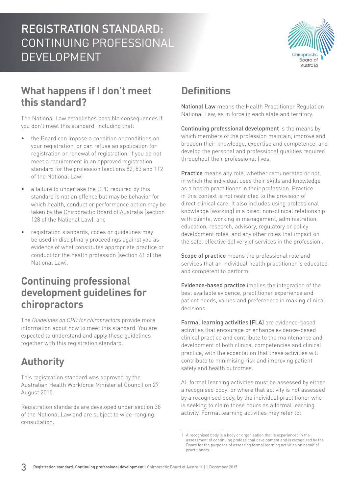

### **What happens if I don't meet this standard?**

The National Law establishes possible consequences if you don't meet this standard, including that:

- the Board can impose a condition or conditions on your registration, or can refuse an application for registration or renewal of registration, if you do not meet a requirement in an approved registration standard for the profession (sections 82, 83 and 112 of the National Law)
- a failure to undertake the CPD required by this standard is not an offence but may be behavior for which health, conduct or performance action may be taken by the Chiropractic Board of Australia (section 128 of the National Law), and
- registration standards, codes or guidelines may be used in disciplinary proceedings against you as evidence of what constitutes appropriate practice or conduct for the health profession (section 41 of the National Law).

### **Continuing professional development guidelines for chiropractors**

The *Guidelines on CPD for chiropractors* provide more information about how to meet this standard. You are expected to understand and apply these guidelines together with this registration standard.

## **Authority**

This registration standard was approved by the Australian Health Workforce Ministerial Council on 27 August 2015.

Registration standards are developed under section 38 of the National Law and are subject to wide-ranging consultation.

# **Definitions**

National Law means the Health Practitioner Regulation National Law, as in force in each state and territory.

Continuing professional development is the means by which members of the profession maintain, improve and broaden their knowledge, expertise and competence, and develop the personal and professional qualities required throughout their professional lives.

Practice means any role, whether remunerated or not, in which the individual uses their skills and knowledge as a health practitioner in their profession. Practice in this context is not restricted to the provision of direct clinical care. It also includes using professional knowledge (working) in a direct non-clinical relationship with clients, working in management, administration, education, research, advisory, regulatory or policy development roles, and any other roles that impact on the safe, effective delivery of services in the profession .

Scope of practice means the professional role and services that an individual health practitioner is educated and competent to perform.

Evidence-based practice implies the integration of the best available evidence, practitioner experience and patient needs, values and preferences in making clinical decisions.

Formal learning activities (FLA) are evidence-based activities that encourage or enhance evidence-based clinical practice and contribute to the maintenance and development of both clinical competencies and clinical practice, with the expectation that these activities will contribute to minimising risk and improving patient safety and health outcomes.

All formal learning activities must be assessed by either a recognised body<sup>1</sup> or where that activity is not assessed by a recognised body, by the individual practitioner who is seeking to claim those hours as a formal learning activity. Formal learning activities may refer to:

<sup>1</sup> A recognised body is a body or organisation that is experienced in the assessment of continuing professional development and is recognised by the Board for the purposes of assessing formal learning activities on behalf of practitioners.